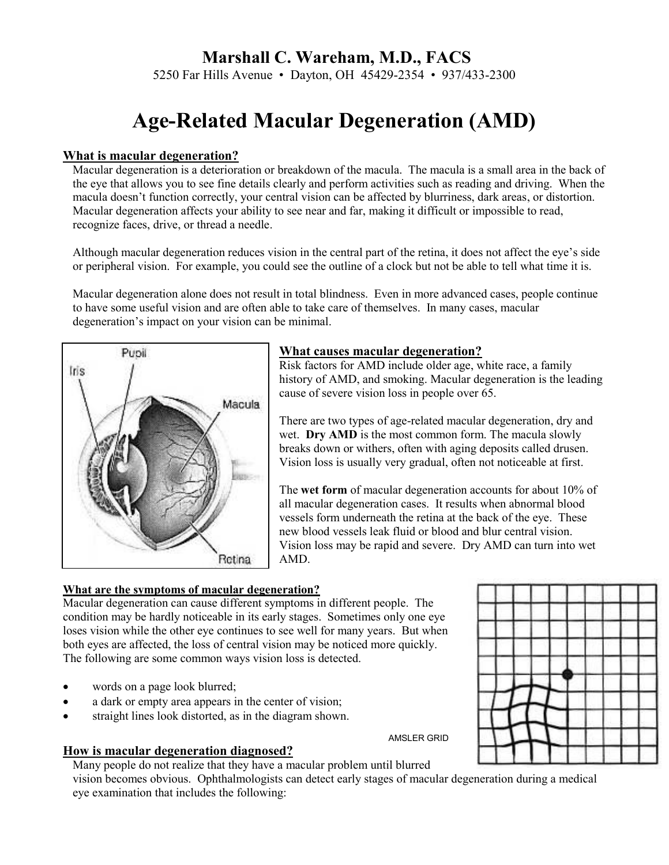# **Marshall C. Wareham, M.D., FACS**

5250 Far Hills Avenue • Dayton, OH 45429-2354 • 937/433-2300

# **Age-Related Macular Degeneration (AMD)**

#### **What is macular degeneration?**

 Macular degeneration is a deterioration or breakdown of the macula. The macula is a small area in the back of the eye that allows you to see fine details clearly and perform activities such as reading and driving. When the macula doesn't function correctly, your central vision can be affected by blurriness, dark areas, or distortion. Macular degeneration affects your ability to see near and far, making it difficult or impossible to read, recognize faces, drive, or thread a needle.

Although macular degeneration reduces vision in the central part of the retina, it does not affect the eye's side or peripheral vision. For example, you could see the outline of a clock but not be able to tell what time it is.

Macular degeneration alone does not result in total blindness. Even in more advanced cases, people continue to have some useful vision and are often able to take care of themselves. In many cases, macular degeneration's impact on your vision can be minimal.



# **What causes macular degeneration?**

Risk factors for AMD include older age, white race, a family history of AMD, and smoking. Macular degeneration is the leading cause of severe vision loss in people over 65.

There are two types of age-related macular degeneration, dry and wet. **Dry AMD** is the most common form. The macula slowly breaks down or withers, often with aging deposits called drusen. Vision loss is usually very gradual, often not noticeable at first.

The **wet form** of macular degeneration accounts for about 10% of all macular degeneration cases. It results when abnormal blood vessels form underneath the retina at the back of the eye. These new blood vessels leak fluid or blood and blur central vision. Vision loss may be rapid and severe. Dry AMD can turn into wet AMD.

# **What are the symptoms of macular degeneration?**

Macular degeneration can cause different symptoms in different people. The condition may be hardly noticeable in its early stages. Sometimes only one eye loses vision while the other eye continues to see well for many years. But when both eyes are affected, the loss of central vision may be noticed more quickly. The following are some common ways vision loss is detected.

- words on a page look blurred;
- a dark or empty area appears in the center of vision;
- straight lines look distorted, as in the diagram shown.

#### **How is macular degeneration diagnosed?**

 Many people do not realize that they have a macular problem until blurred vision becomes obvious. Ophthalmologists can detect early stages of macular degeneration during a medical eye examination that includes the following:



AMSLER GRID